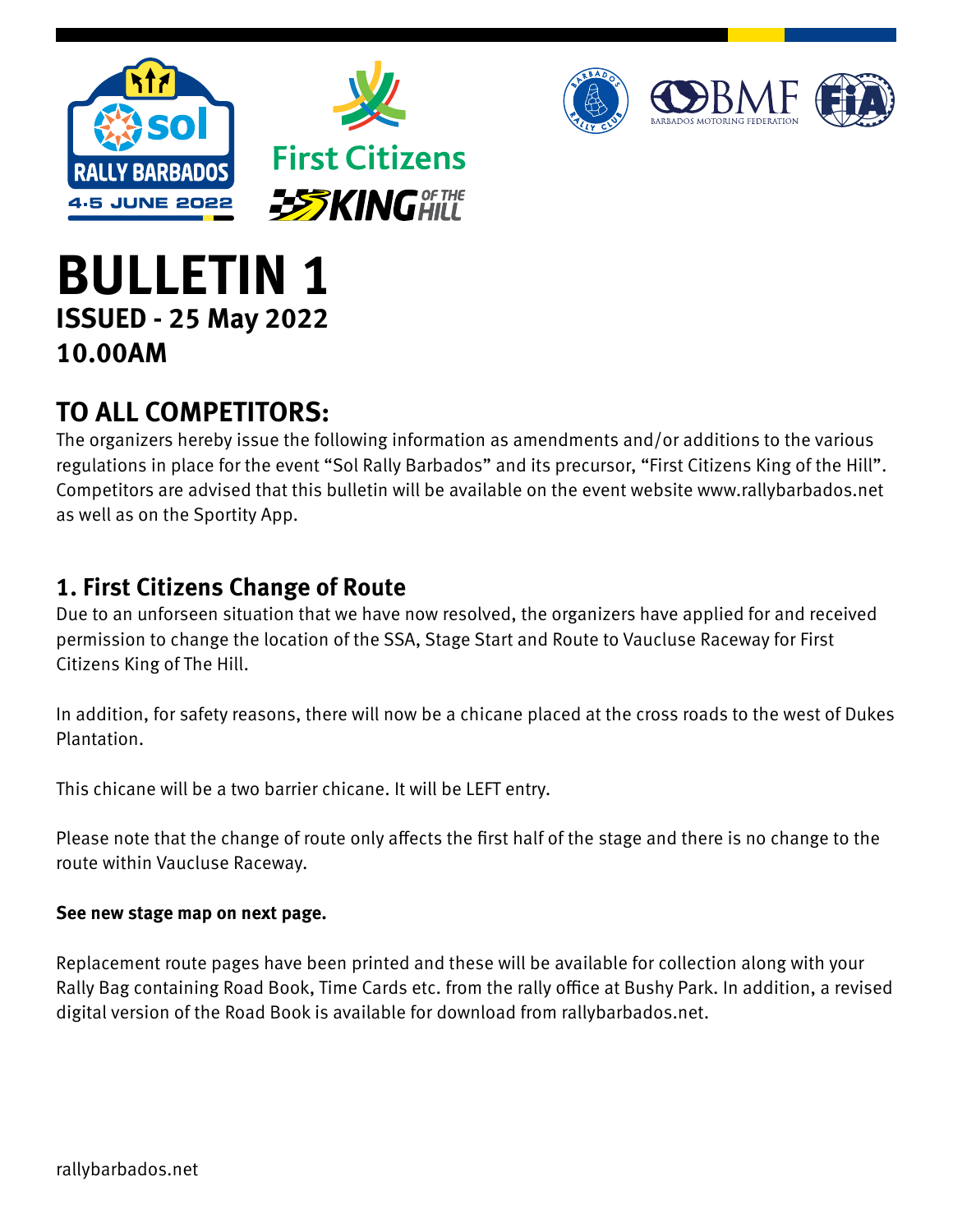



# **BULLETIN 1 ISSUED - 25 May 2022 10.00AM**

## **TO ALL COMPETITORS:**

The organizers hereby issue the following information as amendments and/or additions to the various regulations in place for the event "Sol Rally Barbados" and its precursor, "First Citizens King of the Hill". Competitors are advised that this bulletin will be available on the event website www.rallybarbados.net as well as on the Sportity App.

## **1. First Citizens Change of Route**

Due to an unforseen situation that we have now resolved, the organizers have applied for and received permission to change the location of the SSA, Stage Start and Route to Vaucluse Raceway for First Citizens King of The Hill.

In addition, for safety reasons, there will now be a chicane placed at the cross roads to the west of Dukes Plantation.

This chicane will be a two barrier chicane. It will be LEFT entry.

Please note that the change of route only affects the first half of the stage and there is no change to the route within Vaucluse Raceway.

### **See new stage map on next page.**

Replacement route pages have been printed and these will be available for collection along with your Rally Bag containing Road Book, Time Cards etc. from the rally office at Bushy Park. In addition, a revised digital version of the Road Book is available for download from rallybarbados.net.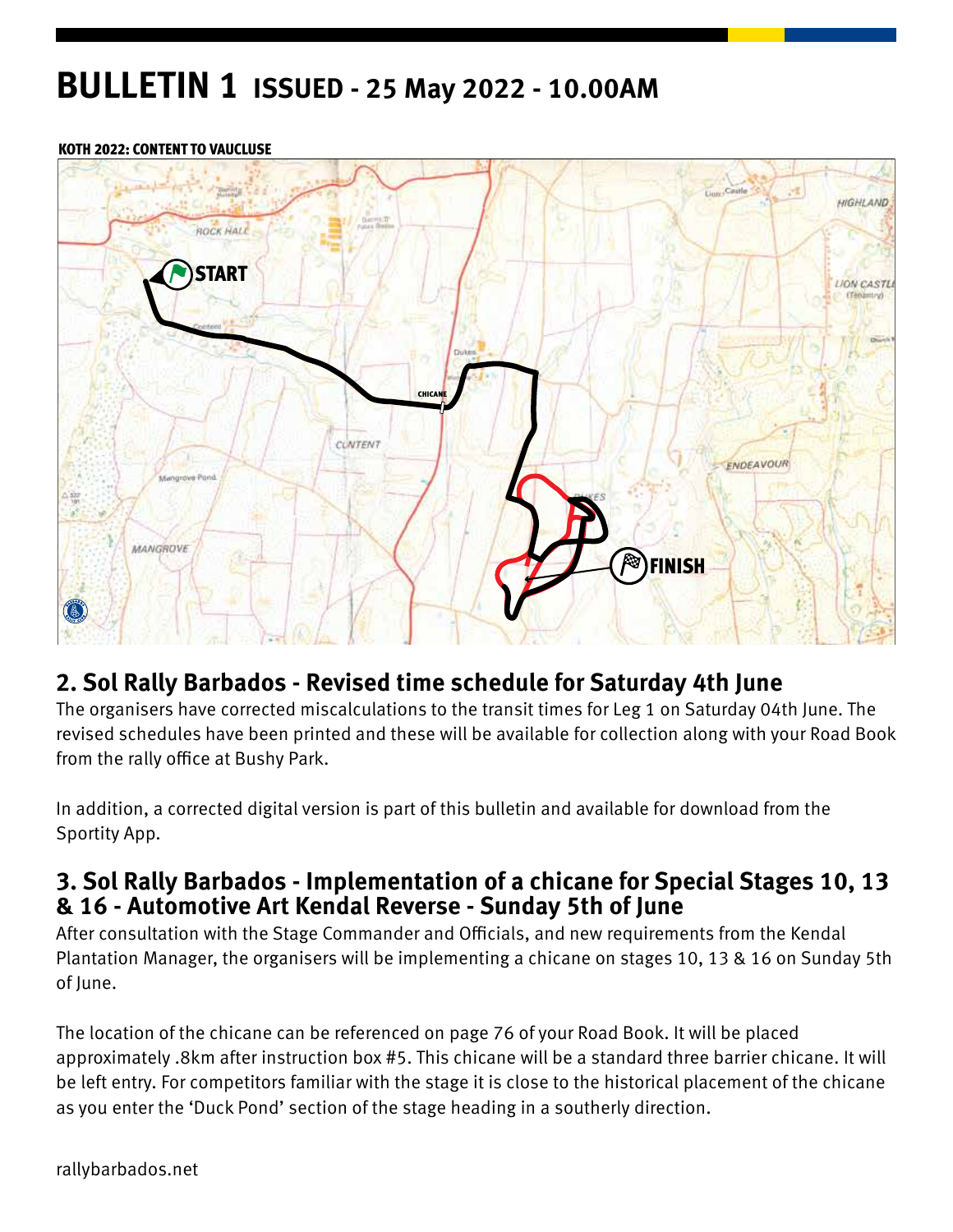## **BULLETIN 1 ISSUED - 25 May 2022 - 10.00AM**

#### KOTH 2022: CONTENT TO VAUCLUSE



### **2. Sol Rally Barbados - Revised time schedule for Saturday 4th June**

The organisers have corrected miscalculations to the transit times for Leg 1 on Saturday 04th June. The revised schedules have been printed and these will be available for collection along with your Road Book from the rally office at Bushy Park.

In addition, a corrected digital version is part of this bulletin and available for download from the Sportity App.

### **3. Sol Rally Barbados - Implementation of a chicane for Special Stages 10, 13 & 16 - Automotive Art Kendal Reverse - Sunday 5th of June**

After consultation with the Stage Commander and Officials, and new requirements from the Kendal Plantation Manager, the organisers will be implementing a chicane on stages 10, 13 & 16 on Sunday 5th of June.

The location of the chicane can be referenced on page 76 of your Road Book. It will be placed approximately .8km after instruction box #5. This chicane will be a standard three barrier chicane. It will be left entry. For competitors familiar with the stage it is close to the historical placement of the chicane as you enter the 'Duck Pond' section of the stage heading in a southerly direction.